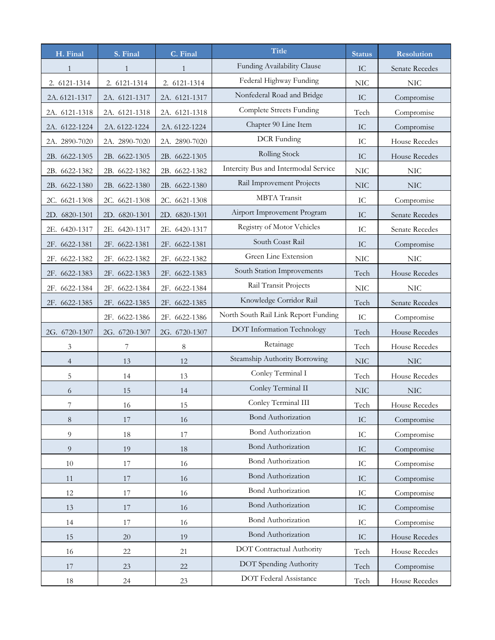| H. Final                 | S. Final      | C. Final      | <b>Title</b>                         | <b>Status</b>    | <b>Resolution</b>    |
|--------------------------|---------------|---------------|--------------------------------------|------------------|----------------------|
| $\mathbf{1}$             | 1             | 1             | Funding Availability Clause          | IC               | Senate Recedes       |
| 2. 6121-1314             | 2. 6121-1314  | 2. 6121-1314  | Federal Highway Funding              | <b>NIC</b>       | <b>NIC</b>           |
| 2A. 6121-1317            | 2A. 6121-1317 | 2A. 6121-1317 | Nonfederal Road and Bridge           | IC               | Compromise           |
| 2A. 6121-1318            | 2A. 6121-1318 | 2A. 6121-1318 | Complete Streets Funding             | Tech             | Compromise           |
| 2A. 6122-1224            | 2A. 6122-1224 | 2A. 6122-1224 | Chapter 90 Line Item                 | IC               | Compromise           |
| 2A. 2890-7020            | 2A. 2890-7020 | 2A. 2890-7020 | DCR Funding                          | ${\rm IC}$       | <b>House Recedes</b> |
| 2B. 6622-1305            | 2B. 6622-1305 | 2B. 6622-1305 | Rolling Stock                        | IC               | House Recedes        |
| 2B. 6622-1382            | 2B. 6622-1382 | 2B. 6622-1382 | Intercity Bus and Intermodal Service | $\rm NIC$        | NIC                  |
| 2B. 6622-1380            | 2B. 6622-1380 | 2B. 6622-1380 | Rail Improvement Projects            | $\rm NIC$        | NIC                  |
| 2C. 6621-1308            | 2C. 6621-1308 | 2C. 6621-1308 | MBTA Transit                         | ${\rm IC}$       | Compromise           |
| 2D. 6820-1301            | 2D. 6820-1301 | 2D. 6820-1301 | Airport Improvement Program          | IC               | Senate Recedes       |
| 2E. 6420-1317            | 2E. 6420-1317 | 2E. 6420-1317 | Registry of Motor Vehicles           | ${\rm IC}$       | Senate Recedes       |
| 2F. 6622-1381            | 2F. 6622-1381 | 2F. 6622-1381 | South Coast Rail                     | ${\rm IC}$       | Compromise           |
| 2F. 6622-1382            | 2F. 6622-1382 | 2F. 6622-1382 | Green Line Extension                 | $\rm NIC$        | <b>NIC</b>           |
| 2F. 6622-1383            | 2F. 6622-1383 | 2F. 6622-1383 | South Station Improvements           | Tech             | House Recedes        |
| 2F. 6622-1384            | 2F. 6622-1384 | 2F. 6622-1384 | Rail Transit Projects                | <b>NIC</b>       | <b>NIC</b>           |
| 2F. 6622-1385            | 2F. 6622-1385 | 2F. 6622-1385 | Knowledge Corridor Rail              | Tech             | Senate Recedes       |
|                          | 2F. 6622-1386 | 2F. 6622-1386 | North South Rail Link Report Funding | ${\rm IC}$       | Compromise           |
| 2G. 6720-1307            | 2G. 6720-1307 | 2G. 6720-1307 | DOT Information Technology           | Tech             | House Recedes        |
| 3                        | 7             | 8             | Retainage                            | Tech             | House Recedes        |
| $\overline{\mathcal{A}}$ | 13            | 12            | Steamship Authority Borrowing        | $\rm NIC$        | <b>NIC</b>           |
| 5                        | 14            | 13            | Conley Terminal I                    | Tech             | House Recedes        |
| 6                        | 15            | 14            | Conley Terminal II                   | $\rm NIC$        | $\rm NIC$            |
| $\overline{7}$           | 16            | $15\,$        | Conley Terminal III                  | Tech             | House Recedes        |
| $8\,$                    | 17            | 16            | <b>Bond Authorization</b>            | $\rm{IC}$        | Compromise           |
| 9                        | $18\,$        | 17            | <b>Bond Authorization</b>            | ${\rm IC}$       | Compromise           |
| 9                        | 19            | $18\,$        | <b>Bond Authorization</b>            | $_{\mathrm{IC}}$ | Compromise           |
| 10                       | $17\,$        | 16            | <b>Bond Authorization</b>            | ${\rm IC}$       | Compromise           |
| 11                       | $17\,$        | 16            | <b>Bond Authorization</b>            | IC               | Compromise           |
| 12                       | $17\,$        | 16            | <b>Bond Authorization</b>            | IC               | Compromise           |
| 13                       | $17\,$        | 16            | <b>Bond Authorization</b>            | $_{\mathrm{IC}}$ | Compromise           |
| 14                       | $17\,$        | 16            | <b>Bond Authorization</b>            | ${\rm IC}$       | Compromise           |
| 15                       | 20            | 19            | <b>Bond Authorization</b>            | $\rm{IC}$        | House Recedes        |
| 16                       | 22            | 21            | DOT Contractual Authority            | Tech             | House Recedes        |
| 17                       | 23            | 22            | DOT Spending Authority               | Tech             | Compromise           |
| $18\,$                   | 24            | 23            | DOT Federal Assistance               | Tech             | House Recedes        |